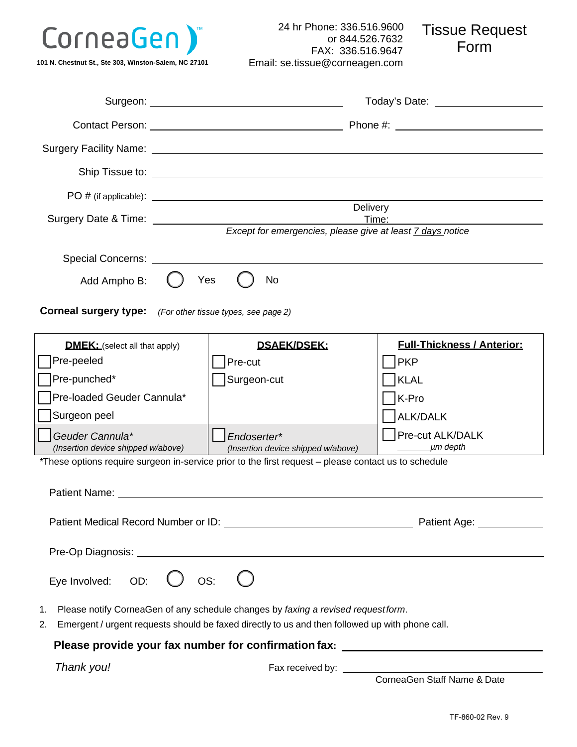

**101 N. Chestnut St., Ste 303, Winston-Salem, NC 27101**

24 hr Phone: 336.516.9600 or 844.526.7632 FAX: 336.516.9647 Email: se[.tissue@corneagen.com](mailto:tissue@corneagen.com) Tissue Request Form

|                                                                                                                                            | Ship Tissue to: <u>contract the contract of the state of</u> the state of the state of the state of the state of the state of the state of the state of the state of the state of the state of the state of the state of the state |                                      |  |  |
|--------------------------------------------------------------------------------------------------------------------------------------------|------------------------------------------------------------------------------------------------------------------------------------------------------------------------------------------------------------------------------------|--------------------------------------|--|--|
|                                                                                                                                            |                                                                                                                                                                                                                                    |                                      |  |  |
| Surgery Date & Time: Surgery Date & Time:                                                                                                  | Delivery                                                                                                                                                                                                                           | Time:                                |  |  |
|                                                                                                                                            | Except for emergencies, please give at least 7 days notice                                                                                                                                                                         |                                      |  |  |
| Special Concerns: <b>Special</b> Concerns:                                                                                                 |                                                                                                                                                                                                                                    |                                      |  |  |
| No<br>Add Ampho B:<br>Yes                                                                                                                  |                                                                                                                                                                                                                                    |                                      |  |  |
|                                                                                                                                            |                                                                                                                                                                                                                                    |                                      |  |  |
| <b>Corneal surgery type:</b> (For other tissue types, see page 2)                                                                          |                                                                                                                                                                                                                                    |                                      |  |  |
| <b>DMEK:</b> (select all that apply)                                                                                                       | <u>DSAEK/DSEK:</u>                                                                                                                                                                                                                 | <b>Full-Thickness / Anterior:</b>    |  |  |
| Pre-peeled                                                                                                                                 | Pre-cut                                                                                                                                                                                                                            | <b>PKP</b>                           |  |  |
| Pre-punched*                                                                                                                               | Surgeon-cut                                                                                                                                                                                                                        | KLAL                                 |  |  |
| Pre-loaded Geuder Cannula*                                                                                                                 |                                                                                                                                                                                                                                    | K-Pro                                |  |  |
| Surgeon peel                                                                                                                               |                                                                                                                                                                                                                                    | ALK/DALK                             |  |  |
| Geuder Cannula*<br>(Insertion device shipped w/above)                                                                                      | Endoserter*                                                                                                                                                                                                                        | <b>Pre-cut ALK/DALK</b><br>_µm depth |  |  |
| (Insertion device shipped w/above)<br>*These options require surgeon in-service prior to the first request - please contact us to schedule |                                                                                                                                                                                                                                    |                                      |  |  |
|                                                                                                                                            |                                                                                                                                                                                                                                    |                                      |  |  |
|                                                                                                                                            |                                                                                                                                                                                                                                    |                                      |  |  |
|                                                                                                                                            |                                                                                                                                                                                                                                    |                                      |  |  |
|                                                                                                                                            |                                                                                                                                                                                                                                    |                                      |  |  |
| Eye Involved: OD: $\bigcup$ OS: $\bigcup$                                                                                                  |                                                                                                                                                                                                                                    |                                      |  |  |
|                                                                                                                                            |                                                                                                                                                                                                                                    |                                      |  |  |
| 1.<br>2.                                                                                                                                   | Please notify CorneaGen of any schedule changes by faxing a revised requestform.<br>Emergent / urgent requests should be faxed directly to us and then followed up with phone call.                                                |                                      |  |  |
| Please provide your fax number for confirmation fax: ___________________________                                                           |                                                                                                                                                                                                                                    |                                      |  |  |
| Thank you!                                                                                                                                 |                                                                                                                                                                                                                                    |                                      |  |  |

CorneaGen Staff Name & Date